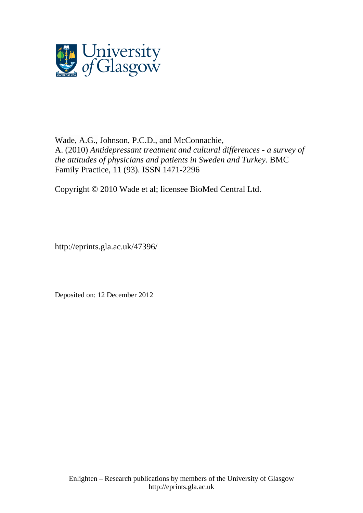

Wade, A.G., [Johnson, P.C.D.,](http://eprints.gla.ac.uk/view/author/10389.html) and [McConnachie,](http://eprints.gla.ac.uk/view/author/2254.html)  [A.](http://eprints.gla.ac.uk/view/author/2254.html) (2010) *[Antidepressant treatment and cultural differences -](http://eprints.gla.ac.uk/cgi/users/home?screen=EPrint::View&eprintid=47396) a survey of [the attitudes of physicians and patients in Sweden and Turkey.](http://eprints.gla.ac.uk/cgi/users/home?screen=EPrint::View&eprintid=47396)* [BMC](http://eprints.gla.ac.uk/view/journal_volume/BMC_Family_Practice.html)  [Family Practice,](http://eprints.gla.ac.uk/view/journal_volume/BMC_Family_Practice.html) 11 (93). ISSN 1471-2296

Copyright © 2010 Wade et al; licensee BioMed Central Ltd.

http://eprints.gla.ac.uk/47396/

Deposited on: 12 December 2012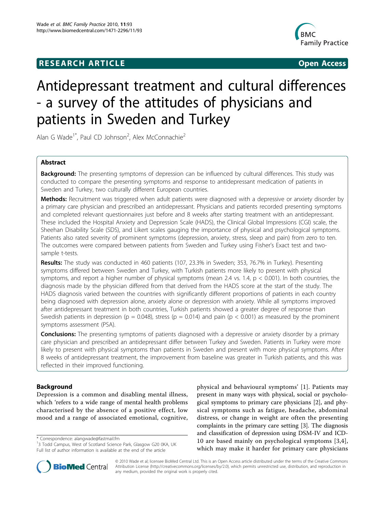# **RESEARCH ARTICLE Example 2018 CONSIDERING ACCESS**



# Antidepressant treatment and cultural differences - a survey of the attitudes of physicians and patients in Sweden and Turkey

Alan G Wade<sup>1\*</sup>, Paul CD Johnson<sup>2</sup>, Alex McConnachie<sup>2</sup>

# Abstract

**Background:** The presenting symptoms of depression can be influenced by cultural differences. This study was conducted to compare the presenting symptoms and response to antidepressant medication of patients in Sweden and Turkey, two culturally different European countries.

Methods: Recruitment was triggered when adult patients were diagnosed with a depressive or anxiety disorder by a primary care physician and prescribed an antidepressant. Physicians and patients recorded presenting symptoms and completed relevant questionnaires just before and 8 weeks after starting treatment with an antidepressant. These included the Hospital Anxiety and Depression Scale (HADS), the Clinical Global Impressions (CGI) scale, the Sheehan Disability Scale (SDS), and Likert scales gauging the importance of physical and psychological symptoms. Patients also rated severity of prominent symptoms (depression, anxiety, stress, sleep and pain) from zero to ten. The outcomes were compared between patients from Sweden and Turkey using Fisher's Exact test and twosample t-tests.

Results: The study was conducted in 460 patients (107, 23.3% in Sweden; 353, 76.7% in Turkey). Presenting symptoms differed between Sweden and Turkey, with Turkish patients more likely to present with physical symptoms, and report a higher number of physical symptoms (mean 2.4 vs. 1.4,  $p < 0.001$ ). In both countries, the diagnosis made by the physician differed from that derived from the HADS score at the start of the study. The HADS diagnosis varied between the countries with significantly different proportions of patients in each country being diagnosed with depression alone, anxiety alone or depression with anxiety. While all symptoms improved after antidepressant treatment in both countries, Turkish patients showed a greater degree of response than Swedish patients in depression (p = 0.048), stress (p = 0.014) and pain (p < 0.001) as measured by the prominent symptoms assessment (PSA).

**Conclusions:** The presenting symptoms of patients diagnosed with a depressive or anxiety disorder by a primary care physician and prescribed an antidepressant differ between Turkey and Sweden. Patients in Turkey were more likely to present with physical symptoms than patients in Sweden and present with more physical symptoms. After 8 weeks of antidepressant treatment, the improvement from baseline was greater in Turkish patients, and this was reflected in their improved functioning.

# Background

Depression is a common and disabling mental illness, which 'refers to a wide range of mental health problems characterised by the absence of a positive effect, low mood and a range of associated emotional, cognitive,

\* Correspondence: [alangwade@fastmail.fm](mailto:alangwade@fastmail.fm)

<sup>&</sup>lt;sup>1</sup>3 Todd Campus, West of Scotland Science Park, Glasgow G20 0KA, UK Full list of author information is available at the end of the article





© 2010 Wade et al; licensee BioMed Central Ltd. This is an Open Access article distributed under the terms of the Creative Commons Attribution License [\(http://creativecommons.org/licenses/by/2.0](http://creativecommons.org/licenses/by/2.0)), which permits unrestricted use, distribution, and reproduction in any medium, provided the original work is properly cited.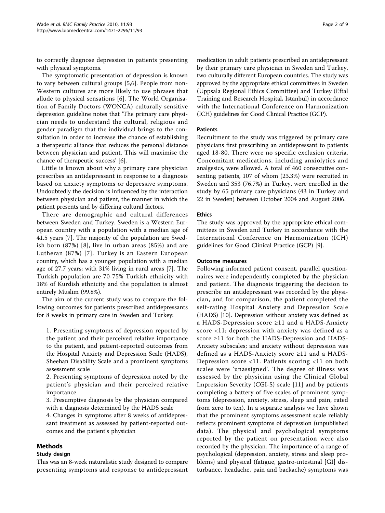to correctly diagnose depression in patients presenting with physical symptoms.

The symptomatic presentation of depression is known to vary between cultural groups [[5,6](#page-9-0)]. People from non-Western cultures are more likely to use phrases that allude to physical sensations [[6\]](#page-9-0). The World Organisation of Family Doctors (WONCA) culturally sensitive depression guideline notes that 'The primary care physician needs to understand the cultural, religious and gender paradigm that the individual brings to the consultation in order to increase the chance of establishing a therapeutic alliance that reduces the personal distance between physician and patient. This will maximise the chance of therapeutic success' [\[6](#page-9-0)].

Little is known about why a primary care physician prescribes an antidepressant in response to a diagnosis based on anxiety symptoms or depressive symptoms. Undoubtedly the decision is influenced by the interaction between physician and patient, the manner in which the patient presents and by differing cultural factors.

There are demographic and cultural differences between Sweden and Turkey. Sweden is a Western European country with a population with a median age of 41.5 years [\[7](#page-9-0)]. The majority of the population are Swedish born (87%) [[8\]](#page-9-0), live in urban areas (85%) and are Lutheran (87%) [[7](#page-9-0)]. Turkey is an Eastern European country, which has a younger population with a median age of 27.7 years; with 31% living in rural areas [[7\]](#page-9-0). The Turkish population are 70-75% Turkish ethnicity with 18% of Kurdish ethnicity and the population is almost entirely Muslim (99.8%).

The aim of the current study was to compare the following outcomes for patients prescribed antidepressants for 8 weeks in primary care in Sweden and Turkey:

1. Presenting symptoms of depression reported by the patient and their perceived relative importance to the patient, and patient-reported outcomes from the Hospital Anxiety and Depression Scale (HADS), Sheehan Disability Scale and a prominent symptoms assessment scale

2. Presenting symptoms of depression noted by the patient's physician and their perceived relative importance

3. Presumptive diagnosis by the physician compared with a diagnosis determined by the HADS scale

4. Changes in symptoms after 8 weeks of antidepressant treatment as assessed by patient-reported outcomes and the patient's physician

# Methods

#### Study design

This was an 8-week naturalistic study designed to compare presenting symptoms and response to antidepressant medication in adult patients prescribed an antidepressant by their primary care physician in Sweden and Turkey, two culturally different European countries. The study was approved by the appropriate ethical committees in Sweden (Uppsala Regional Ethics Committee) and Turkey (Eftal Training and Research Hospital, Istanbul) in accordance with the International Conference on Harmonization (ICH) guidelines for Good Clinical Practice (GCP).

#### Patients

Recruitment to the study was triggered by primary care physicians first prescribing an antidepressant to patients aged 18-80. There were no specific exclusion criteria. Concomitant medications, including anxiolytics and analgesics, were allowed. A total of 460 consecutive consenting patients, 107 of whom (23.3%) were recruited in Sweden and 353 (76.7%) in Turkey, were enrolled in the study by 65 primary care physicians (43 in Turkey and 22 in Sweden) between October 2004 and August 2006.

#### Ethics

The study was approved by the appropriate ethical committees in Sweden and Turkey in accordance with the International Conference on Harmonization (ICH) guidelines for Good Clinical Practice (GCP) [\[9](#page-9-0)].

#### Outcome measures

Following informed patient consent, parallel questionnaires were independently completed by the physician and patient. The diagnosis triggering the decision to prescribe an antidepressant was recorded by the physician, and for comparison, the patient completed the self-rating Hospital Anxiety and Depression Scale (HADS) [\[10\]](#page-9-0). Depression without anxiety was defined as a HADS-Depression score ≥11 and a HADS-Anxiety score <11; depression with anxiety was defined as a score ≥11 for both the HADS-Depression and HADS-Anxiety subscales; and anxiety without depression was defined as a HADS-Anxiety score ≥11 and a HADS-Depression score <11. Patients scoring <11 on both scales were 'unassigned'. The degree of illness was assessed by the physician using the Clinical Global Impression Severity (CGI-S) scale [[11](#page-9-0)] and by patients completing a battery of five scales of prominent symptoms (depression, anxiety, stress, sleep and pain, rated from zero to ten). In a separate analysis we have shown that the prominent symptoms assessment scale reliably reflects prominent symptoms of depression (unpublished data). The physical and psychological symptoms reported by the patient on presentation were also recorded by the physician. The importance of a range of psychological (depression, anxiety, stress and sleep problems) and physical (fatigue, gastro-intestinal [GI] disturbance, headache, pain and backache) symptoms was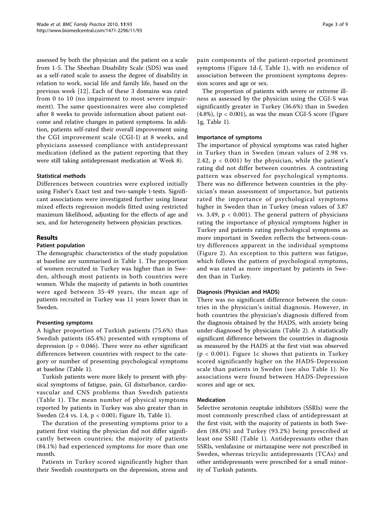assessed by both the physician and the patient on a scale from 1-5. The Sheehan Disability Scale (SDS) was used as a self-rated scale to assess the degree of disability in relation to work, social life and family life, based on the previous week [\[12\]](#page-9-0). Each of these 3 domains was rated from 0 to 10 (no impairment to most severe impairment). The same questionnaires were also completed after 8 weeks to provide information about patient outcome and relative changes in patient symptoms. In addition, patients self-rated their overall improvement using the CGI improvement scale (CGI-I) at 8 weeks, and physicians assessed compliance with antidepressant medication (defined as the patient reporting that they were still taking antidepressant medication at Week 8).

# Statistical methods

Differences between countries were explored initially using Fisher's Exact test and two-sample t-tests. Significant associations were investigated further using linear mixed effects regression models fitted using restricted maximum likelihood, adjusting for the effects of age and sex, and for heterogeneity between physician practices.

#### Results

#### Patient population

The demographic characteristics of the study population at baseline are summarised in Table [1](#page-4-0). The proportion of women recruited in Turkey was higher than in Sweden, although most patients in both countries were women. While the majority of patients in both countries were aged between 35-49 years, the mean age of patients recruited in Turkey was 11 years lower than in Sweden.

#### Presenting symptoms

A higher proportion of Turkish patients (75.6%) than Swedish patients (65.4%) presented with symptoms of depression ( $p = 0.046$ ). There were no other significant differences between countries with respect to the category or number of presenting psychological symptoms at baseline (Table [1](#page-4-0)).

Turkish patients were more likely to present with physical symptoms of fatigue, pain, GI disturbance, cardiovascular and CNS problems than Swedish patients (Table [1\)](#page-4-0). The mean number of physical symptoms reported by patients in Turkey was also greater than in Sweden (2.4 vs. 1.4, p < 0.001; Figure [1b](#page-5-0), Table [1\)](#page-4-0).

The duration of the presenting symptoms prior to a patient first visiting the physician did not differ significantly between countries; the majority of patients (84.1%) had experienced symptoms for more than one month.

Patients in Turkey scored significantly higher than their Swedish counterparts on the depression, stress and pain components of the patient-reported prominent symptoms (Figure [1d-f,](#page-5-0) Table [1\)](#page-4-0), with no evidence of association between the prominent symptoms depression scores and age or sex.

The proportion of patients with severe or extreme illness as assessed by the physician using the CGI-S was significantly greater in Turkey (36.6%) than in Sweden  $(4.8\%)$ ,  $(p < 0.001)$ , as was the mean CGI-S score (Figure [1g](#page-5-0), Table [1\)](#page-4-0).

# Importance of symptoms

The importance of physical symptoms was rated higher in Turkey than in Sweden (mean values of 2.98 vs. 2.42,  $p < 0.001$ ) by the physician, while the patient's rating did not differ between countries. A contrasting pattern was observed for psychological symptoms. There was no difference between countries in the physician's mean assessment of importance, but patients rated the importance of psychological symptoms higher in Sweden than in Turkey (mean values of 3.87 vs. 3.49,  $p < 0.001$ ). The general pattern of physicians rating the importance of physical symptoms higher in Turkey and patients rating psychological symptoms as more important in Sweden reflects the between-country differences apparent in the individual symptoms (Figure [2](#page-6-0)). An exception to this pattern was fatigue, which follows the pattern of psychological symptoms, and was rated as more important by patients in Sweden than in Turkey.

# Diagnosis (Physician and HADS)

There was no significant difference between the countries in the physician's initial diagnosis. However, in both countries the physician's diagnosis differed from the diagnosis obtained by the HADS, with anxiety being under-diagnosed by physicians (Table [2\)](#page-7-0). A statistically significant difference between the countries in diagnosis as measured by the HADS at the first visit was observed  $(p < 0.001)$ . Figure [1c](#page-5-0) shows that patients in Turkey scored significantly higher on the HADS-Depression scale than patients in Sweden (see also Table [1](#page-4-0)). No associations were found between HADS-Depression scores and age or sex.

#### Medication

Selective serotonin reuptake inhibitors (SSRIs) were the most commonly prescribed class of antidepressant at the first visit, with the majority of patients in both Sweden (88.0%) and Turkey (93.2%) being prescribed at least one SSRI (Table [1\)](#page-4-0). Antidepressants other than SSRIs, venlafaxine or mirtazapine were not prescribed in Sweden, whereas tricyclic antidepressants (TCAs) and other antidepressants were prescribed for a small minority of Turkish patients.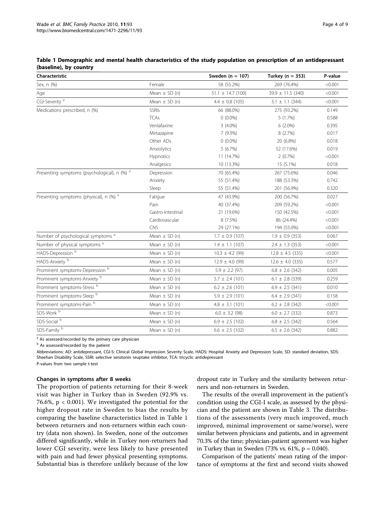| Characteristic                                |                   | Sweden ( $n = 107$ )  | Turkey ( $n = 353$ )         | P-value |
|-----------------------------------------------|-------------------|-----------------------|------------------------------|---------|
| Sex, n (%)                                    | Female            | 58 (55.2%)            | 269 (76.4%)                  | < 0.001 |
| Age                                           | Mean $\pm$ SD (n) | $51.1 \pm 14.7$ (100) | $39.9 \pm 11.5$ (340)        | < 0.001 |
| CGI-Severity <sup>a</sup>                     | Mean $\pm$ SD (n) | $4.4 \pm 0.8$ (105)   | $5.1 \pm 1.1$ (344)          | < 0.001 |
| Medications prescribed, n (%)                 | SSRIs             | 66 (88.0%)            | 275 (93.2%)                  | 0.149   |
|                                               | <b>TCAs</b>       | $0(0.0\%)$            | 5 (1.7%)                     | 0.588   |
|                                               | Venlafaxine       | $3(4.0\%)$            | $6(2.0\%)$                   | 0.395   |
|                                               | Mirtazapine       | 7(9.3%)               | 8(2.7%)                      | 0.017   |
|                                               | Other ADs         | $0(0.0\%)$            | 20 (6.8%)                    | 0.018   |
|                                               | Anxiolytics       | 5(6.7%)               | 52 (17.6%)                   | 0.019   |
|                                               | Hypnotics         | 11 (14.7%)            | 2(0.7%)                      | < 0.001 |
|                                               | Analgesics        | 10 (13.3%)            | 15 (5.1%)                    | 0.018   |
| Presenting symptoms (psychological), n (%) a  | Depression        | 70 (65.4%)            | 267 (75.6%)                  | 0.046   |
|                                               | Anxiety           | 55 (51.4%)            | 188 (53.3%)                  | 0.742   |
|                                               | Sleep             | 55 (51.4%)            | 201 (56.9%)                  | 0.320   |
| Presenting symptoms (physical), n (%) a       | Fatigue           | 47 (43.9%)            | 200 (56.7%)                  | 0.027   |
|                                               | Pain              | 40 (37.4%)            | 209 (59.2%)                  | < 0.001 |
|                                               | Gastro-intestinal | 21 (19.6%)            | 150 (42.5%)                  | < 0.001 |
|                                               | Cardiovascular    | 8(7.5%)               | 86 (24.4%)                   | < 0.001 |
|                                               | CNS               | 29 (27.1%)            | 194 (55.0%)                  | < 0.001 |
| Number of psychological symptoms <sup>a</sup> | Mean $\pm$ SD (n) | $1.7 \pm 0.9$ (107)   | $1.9 \pm 0.9$ (353)          | 0.067   |
| Number of physical symptoms <sup>a</sup>      | Mean $\pm$ SD (n) | $1.4 \pm 1.1$ (107)   | $2.4 \pm 1.3$ (353)          | < 0.001 |
| HADS-Depression <sup>b</sup>                  | Mean $\pm$ SD (n) | $10.3 \pm 4.2$ (99)   | $12.8 \pm 4.5$ (335)         | < 0.001 |
| HADS-Anxiety <sup>b</sup>                     | Mean $\pm$ SD (n) | $12.9 \pm 4.0$ (99)   | $12.6 \pm 4.0$ (335)         | 0.577   |
| Prominent symptoms-Depression <sup>b</sup>    | Mean $\pm$ SD (n) | $5.9 \pm 2.2$ (97)    | $6.8 \pm 2.6$ (342)          | 0.005   |
| Prominent symptoms-Anxiety b                  | Mean $\pm$ SD (n) | $5.7 \pm 2.4$ (101)   | $6.1 \pm 2.8$ (339)          | 0.259   |
| Prominent symptoms-Stress b                   | Mean $\pm$ SD (n) | $6.2 \pm 2.6$ (101)   | $6.9 \pm 2.5$ (341)<br>0.010 |         |
| Prominent symptoms-Sleep b                    | Mean $\pm$ SD (n) | $5.9 \pm 2.9$ (101)   | $6.4 \pm 2.9$ (341)          | 0.158   |
| Prominent symptoms-Pain b                     | Mean $\pm$ SD (n) | $4.8 \pm 3.1$ (101)   | $6.2 \pm 2.8$ (342)          | < 0.001 |
| SDS-Work <sup>b</sup>                         | Mean $\pm$ SD (n) | $6.0 \pm 3.2$ (98)    | $6.0 \pm 2.7$ (332)          | 0.873   |
| SDS-Social <sup>b</sup>                       | Mean $\pm$ SD (n) | $6.9 \pm 2.5$ (102)   | $6.8 \pm 2.5$ (342)          | 0.564   |
| SDS-Family b                                  | Mean $\pm$ SD (n) | $6.6 \pm 2.5$ (102)   | $6.5 \pm 2.6$ (342)          | 0.882   |

#### <span id="page-4-0"></span>Table 1 Demographic and mental health characteristics of the study population on prescription of an antidepressant (baseline), by country

 $a$  As assessed/recorded by the primary care physician

<sup>b</sup> As assessed/recorded by the patient

Abbreviations: AD: antidepressant, CGI-S: Clinical Global Impression Severity Scale, HADS: Hospital Anxiety and Depression Scale, SD: standard deviation, SDS: Sheehan Disability Scale, SSRI: selective serotonin reuptake inhibitor, TCA: tricyclic antidepressant P-values from two sample t-test

# Changes in symptoms after 8 weeks

The proportion of patients returning for their 8-week visit was higher in Turkey than in Sweden (92.9% vs. 76.6%, p < 0.001). We investigated the potential for the higher dropout rate in Sweden to bias the results by comparing the baseline characteristics listed in Table 1 between returners and non-returners within each country (data non shown). In Sweden, none of the outcomes differed significantly, while in Turkey non-returners had lower CGI severity, were less likely to have presented with pain and had fewer physical presenting symptoms. Substantial bias is therefore unlikely because of the low

dropout rate in Turkey and the similarity between returners and non-returners in Sweden.

The results of the overall improvement in the patient's condition using the CGI-I scale, as assessed by the physician and the patient are shown in Table [3](#page-7-0). The distributions of the assessments (very much improved, much improved, minimal improvement or same/worse), were similar between physicians and patients, and in agreement 70.3% of the time; physician-patient agreement was higher in Turkey than in Sweden (73% vs.  $61\%$ , p = 0.040).

Comparison of the patients' mean rating of the importance of symptoms at the first and second visits showed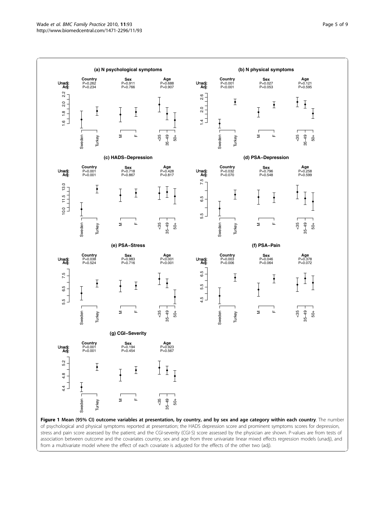<span id="page-5-0"></span>

stress and pain score assessed by the patient; and the CGI-severity (CGI-S) score assessed by the physician are shown. P-values are from tests of association between outcome and the covariates country, sex and age from three univariate linear mixed effects regression models (unadj), and from a multivariate model where the effect of each covariate is adjusted for the effects of the other two (adj).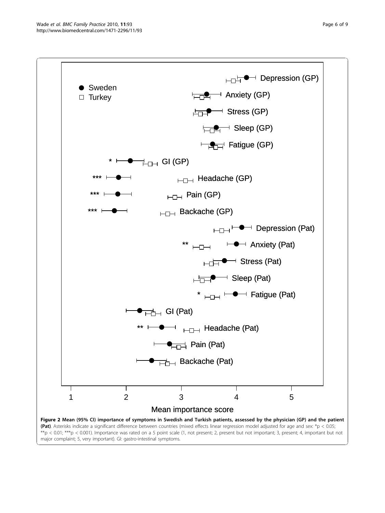<span id="page-6-0"></span>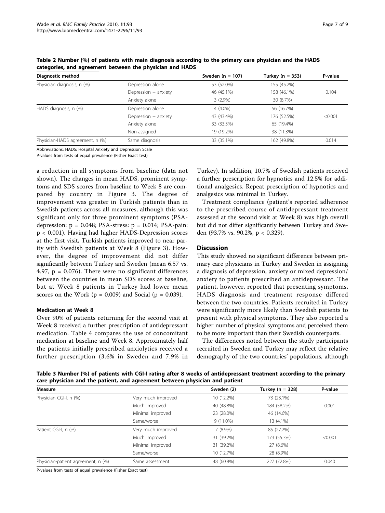| Diagnostic method               |                      | Sweden ( $n = 107$ ) | Turkey ( $n = 353$ ) | P-value |
|---------------------------------|----------------------|----------------------|----------------------|---------|
| Physician diagnosis, n (%)      | Depression alone     | 53 (52.0%)           | 155 (45.2%)          |         |
|                                 | Depression + anxiety | 46 (45.1%)           | 158 (46.1%)          | 0.104   |
|                                 | Anxiety alone        | $3(2.9\%)$           | 30 (8.7%)            |         |
| HADS diagnosis, n (%)           | Depression alone     | $4(4.0\%)$           | 56 (16.7%)           |         |
|                                 | Depression + anxiety | 43 (43.4%)           | 176 (52.5%)          | < 0.001 |
|                                 | Anxiety alone        | 33 (33.3%)           | 65 (19.4%)           |         |
|                                 | Non-assigned         | 19 (19.2%)           | 38 (11.3%)           |         |
| Physician-HADS agreement, n (%) | Same diagnosis       | 33 (35.1%)           | 162 (49.8%)          | 0.014   |

<span id="page-7-0"></span>Table 2 Number (%) of patients with main diagnosis according to the primary care physician and the HADS categories, and agreement between the physician and HADS

Abbreviations: HADS: Hospital Anxiety and Depression Scale

P-values from tests of equal prevalence (Fisher Exact test)

a reduction in all symptoms from baseline (data not shown). The changes in mean HADS, prominent symptoms and SDS scores from baseline to Week 8 are compared by country in Figure [3.](#page-8-0) The degree of improvement was greater in Turkish patients than in Swedish patients across all measures, although this was significant only for three prominent symptoms (PSAdepression:  $p = 0.048$ ; PSA-stress:  $p = 0.014$ ; PSA-pain: p < 0.001). Having had higher HADS-Depression scores at the first visit, Turkish patients improved to near parity with Swedish patients at Week 8 (Figure [3](#page-8-0)). However, the degree of improvement did not differ significantly between Turkey and Sweden (mean 6.57 vs. 4.97,  $p = 0.076$ . There were no significant differences between the countries in mean SDS scores at baseline, but at Week 8 patients in Turkey had lower mean scores on the Work ( $p = 0.009$ ) and Social ( $p = 0.039$ ).

# Medication at Week 8

Over 90% of patients returning for the second visit at Week 8 received a further prescription of antidepressant medication. Table [4](#page-8-0) compares the use of concomitant medication at baseline and Week 8. Approximately half the patients initially prescribed anxiolytics received a further prescription (3.6% in Sweden and 7.9% in

Turkey). In addition, 10.7% of Swedish patients received a further prescription for hypnotics and 12.5% for additional analgesics. Repeat prescription of hypnotics and analgesics was minimal in Turkey.

Treatment compliance (patient's reported adherence to the prescribed course of antidepressant treatment assessed at the second visit at Week 8) was high overall but did not differ significantly between Turkey and Sweden (93.7% vs. 90.2%, p < 0.329).

# **Discussion**

This study showed no significant difference between primary care physicians in Turkey and Sweden in assigning a diagnosis of depression, anxiety or mixed depression/ anxiety to patients prescribed an antidepressant. The patient, however, reported that presenting symptoms, HADS diagnosis and treatment response differed between the two countries. Patients recruited in Turkey were significantly more likely than Swedish patients to present with physical symptoms. They also reported a higher number of physical symptoms and perceived them to be more important than their Swedish counterparts.

The differences noted between the study participants recruited in Sweden and Turkey may reflect the relative demography of the two countries' populations, although

Table 3 Number (%) of patients with CGI-I rating after 8 weeks of antidepressant treatment according to the primary care physician and the patient, and agreement between physician and patient

| Measure                            |                    | Sweden (2)  | Turkey ( $n = 328$ ) | P-value |
|------------------------------------|--------------------|-------------|----------------------|---------|
| Physician CGI-I, n (%)             | Very much improved | 10 (12.2%)  | 73 (23.1%)           |         |
|                                    | Much improved      | 40 (48.8%)  | 184 (58.2%)          | 0.001   |
|                                    | Minimal improved   | 23 (28.0%)  | 46 (14.6%)           |         |
|                                    | Same/worse         | $9(11.0\%)$ | 13 (4.1%)            |         |
| Patient CGI-I, n (%)               | Very much improved | $7(8.9\%)$  | 85 (27.2%)           |         |
|                                    | Much improved      | 31 (39.2%)  | 173 (55.3%)          | < 0.001 |
|                                    | Minimal improved   | 31 (39.2%)  | 27 (8.6%)            |         |
|                                    | Same/worse         | 10 (12.7%)  | 28 (8.9%)            |         |
| Physician-patient agreement, n (%) | Same assessment    | 48 (60.8%)  | 227 (72.8%)          | 0.040   |

P-values from tests of equal prevalence (Fisher Exact test)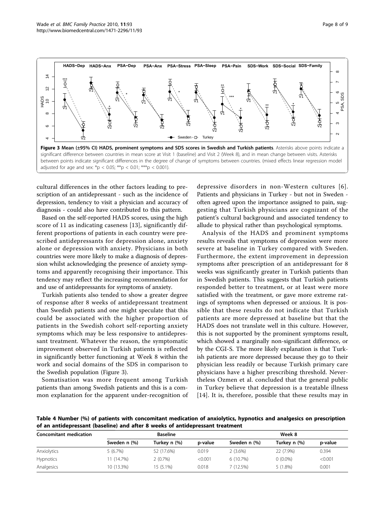<span id="page-8-0"></span>

cultural differences in the other factors leading to prescription of an antidepressant - such as the incidence of depression, tendency to visit a physician and accuracy of diagnosis - could also have contributed to this pattern.

Based on the self-reported HADS scores, using the high score of 11 as indicating caseness [[13\]](#page-9-0), significantly different proportions of patients in each country were prescribed antidepressants for depression alone, anxiety alone or depression with anxiety. Physicians in both countries were more likely to make a diagnosis of depression whilst acknowledging the presence of anxiety symptoms and apparently recognising their importance. This tendency may reflect the increasing recommendation for and use of antidepressants for symptoms of anxiety.

Turkish patients also tended to show a greater degree of response after 8 weeks of antidepressant treatment than Swedish patients and one might speculate that this could be associated with the higher proportion of patients in the Swedish cohort self-reporting anxiety symptoms which may be less responsive to antidepressant treatment. Whatever the reason, the symptomatic improvement observed in Turkish patients is reflected in significantly better functioning at Week 8 within the work and social domains of the SDS in comparison to the Swedish population (Figure 3).

Somatisation was more frequent among Turkish patients than among Swedish patients and this is a common explanation for the apparent under-recognition of

depressive disorders in non-Western cultures [[6\]](#page-9-0). Patients and physicians in Turkey - but not in Sweden often agreed upon the importance assigned to pain, suggesting that Turkish physicians are cognizant of the patient's cultural background and associated tendency to allude to physical rather than psychological symptoms.

Analysis of the HADS and prominent symptoms results reveals that symptoms of depression were more severe at baseline in Turkey compared with Sweden. Furthermore, the extent improvement in depression symptoms after prescription of an antidepressant for 8 weeks was significantly greater in Turkish patients than in Swedish patients. This suggests that Turkish patients responded better to treatment, or at least were more satisfied with the treatment, or gave more extreme ratings of symptoms when depressed or anxious. It is possible that these results do not indicate that Turkish patients are more depressed at baseline but that the HADS does not translate well in this culture. However, this is not supported by the prominent symptoms result, which showed a marginally non-significant difference, or by the CGI-S. The more likely explanation is that Turkish patients are more depressed because they go to their physician less readily or because Turkish primary care physicians have a higher prescribing threshold. Nevertheless Ozmen et al. concluded that the general public in Turkey believe that depression is a treatable illness [[14](#page-9-0)]. It is, therefore, possible that these results may in

Table 4 Number (%) of patients with concomitant medication of anxiolytics, hypnotics and analgesics on prescription of an antidepressant (baseline) and after 8 weeks of antidepressant treatment

| <b>Concomitant medication</b> | <b>Baseline</b> |              |         | Week 8       |              |         |
|-------------------------------|-----------------|--------------|---------|--------------|--------------|---------|
|                               | Sweden n (%)    | Turkey n (%) | p-value | Sweden n (%) | Turkey n (%) | p-value |
| Anxiolytics                   | $5(6.7\%)$      | 52 (17.6%)   | 0.019   | $2(3.6\%)$   | 22 (7.9%)    | 0.394   |
| Hypnotics                     | 11 (14.7%)      | $2(0.7\%)$   | < 0.001 | 6(10.7%)     | $0(0.0\%)$   | < 0.001 |
| Analgesics                    | 10 (13.3%)      | 15 (5.1%)    | 0.018   | $(12.5\%)$   | $5(1.8\%)$   | 0.001   |